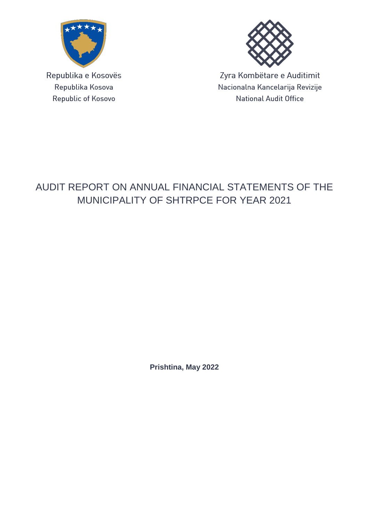

Republika e Kosovës Republika Kosova Republic of Kosovo



Zyra Kombëtare e Auditimit Nacionalna Kancelarija Revizije **National Audit Office** 

# AUDIT REPORT ON ANNUAL FINANCIAL STATEMENTS OF THE MUNICIPALITY OF SHTRPCE FOR YEAR 2021

**Prishtina, May 2022**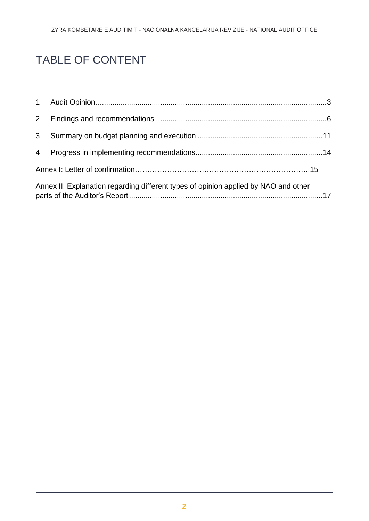# TABLE OF CONTENT

| 3 <sup>1</sup> |                                                                                     |  |
|----------------|-------------------------------------------------------------------------------------|--|
|                |                                                                                     |  |
|                |                                                                                     |  |
|                | Annex II: Explanation regarding different types of opinion applied by NAO and other |  |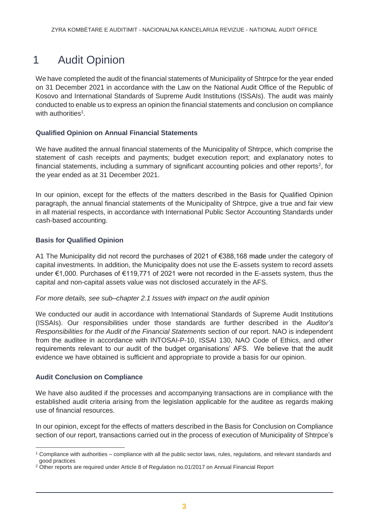# <span id="page-2-0"></span>1 Audit Opinion

We have completed the audit of the financial statements of Municipality of Shtrpce for the year ended on 31 December 2021 in accordance with the Law on the National Audit Office of the Republic of Kosovo and International Standards of Supreme Audit Institutions (ISSAIs). The audit was mainly conducted to enable us to express an opinion the financial statements and conclusion on compliance with authorities<sup>1</sup>.

## **Qualified Opinion on Annual Financial Statements**

We have audited the annual financial statements of the Municipality of Shtrpce, which comprise the statement of cash receipts and payments; budget execution report; and explanatory notes to financial statements, including a summary of significant accounting policies and other reports<sup>2</sup>, for the year ended as at 31 December 2021.

In our opinion, except for the effects of the matters described in the Basis for Qualified Opinion paragraph, the annual financial statements of the Municipality of Shtrpce, give a true and fair view in all material respects, in accordance with International Public Sector Accounting Standards under cash-based accounting.

## **Basis for Qualified Opinion**

A1 The Municipality did not record the purchases of 2021 of €388,168 made under the category of capital investments. In addition, the Municipality does not use the E-assets system to record assets under €1,000. Purchases of €119,771 of 2021 were not recorded in the E-assets system, thus the capital and non-capital assets value was not disclosed accurately in the AFS.

*For more details, see sub–chapter 2.1 Issues with impact on the audit opinion*

We conducted our audit in accordance with International Standards of Supreme Audit Institutions (ISSAIs). Our responsibilities under those standards are further described in the *Auditor's Responsibilities for the Audit of the Financial Statements* section of our report. NAO is independent from the auditee in accordance with INTOSAI-P-10, ISSAI 130, NAO Code of Ethics, and other requirements relevant to our audit of the budget organisations' AFS. We believe that the audit evidence we have obtained is sufficient and appropriate to provide a basis for our opinion.

#### **Audit Conclusion on Compliance**

 $\overline{a}$ 

We have also audited if the processes and accompanying transactions are in compliance with the established audit criteria arising from the legislation applicable for the auditee as regards making use of financial resources.

In our opinion, except for the effects of matters described in the Basis for Conclusion on Compliance section of our report, transactions carried out in the process of execution of Municipality of Shtrpce's

<sup>1</sup> Compliance with authorities – compliance with all the public sector laws, rules, regulations, and relevant standards and good practices

<sup>&</sup>lt;sup>2</sup> Other reports are required under Article 8 of Regulation no.01/2017 on Annual Financial Report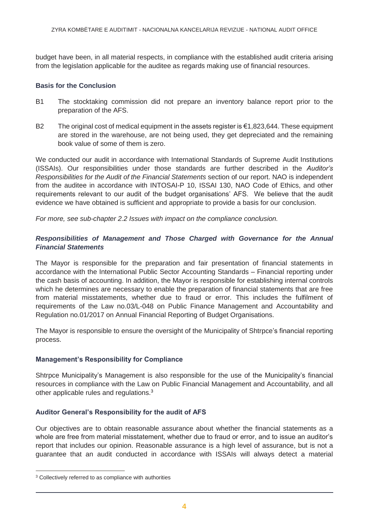budget have been, in all material respects, in compliance with the established audit criteria arising from the legislation applicable for the auditee as regards making use of financial resources.

### **Basis for the Conclusion**

- B1 The stocktaking commission did not prepare an inventory balance report prior to the preparation of the AFS.
- B2 The original cost of medical equipment in the assets register is  $\epsilon$ 1,823,644. These equipment are stored in the warehouse, are not being used, they get depreciated and the remaining book value of some of them is zero.

We conducted our audit in accordance with International Standards of Supreme Audit Institutions (ISSAIs). Our responsibilities under those standards are further described in the *Auditor's Responsibilities for the Audit of the Financial Statements* section of our report. NAO is independent from the auditee in accordance with INTOSAI-P 10, ISSAI 130, NAO Code of Ethics, and other requirements relevant to our audit of the budget organisations' AFS. We believe that the audit evidence we have obtained is sufficient and appropriate to provide a basis for our conclusion.

*For more, see sub-chapter 2.2 Issues with impact on the compliance conclusion.*

## *Responsibilities of Management and Those Charged with Governance for the Annual Financial Statements*

The Mayor is responsible for the preparation and fair presentation of financial statements in accordance with the International Public Sector Accounting Standards – Financial reporting under the cash basis of accounting. In addition, the Mayor is responsible for establishing internal controls which he determines are necessary to enable the preparation of financial statements that are free from material misstatements, whether due to fraud or error. This includes the fulfilment of requirements of the Law no.03/L-048 on Public Finance Management and Accountability and Regulation no.01/2017 on Annual Financial Reporting of Budget Organisations.

The Mayor is responsible to ensure the oversight of the Municipality of Shtrpce's financial reporting process.

## **Management's Responsibility for Compliance**

Shtrpce Municipality's Management is also responsible for the use of the Municipality's financial resources in compliance with the Law on Public Financial Management and Accountability, and all other applicable rules and regulations.<sup>3</sup>

## **Auditor General's Responsibility for the audit of AFS**

Our objectives are to obtain reasonable assurance about whether the financial statements as a whole are free from material misstatement, whether due to fraud or error, and to issue an auditor's report that includes our opinion. Reasonable assurance is a high level of assurance, but is not a guarantee that an audit conducted in accordance with ISSAIs will always detect a material

 $\overline{a}$ 

<sup>&</sup>lt;sup>3</sup> Collectively referred to as compliance with authorities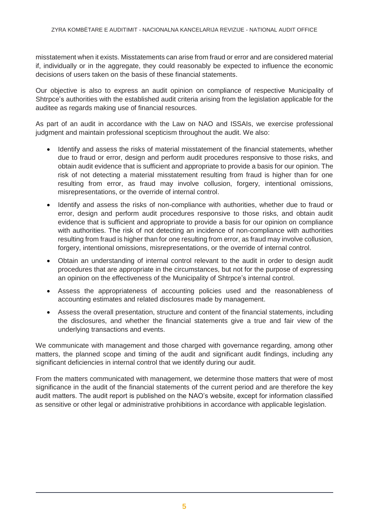misstatement when it exists. Misstatements can arise from fraud or error and are considered material if, individually or in the aggregate, they could reasonably be expected to influence the economic decisions of users taken on the basis of these financial statements.

Our objective is also to express an audit opinion on compliance of respective Municipality of Shtrpce's authorities with the established audit criteria arising from the legislation applicable for the auditee as regards making use of financial resources.

As part of an audit in accordance with the Law on NAO and ISSAIs, we exercise professional judgment and maintain professional scepticism throughout the audit. We also:

- Identify and assess the risks of material misstatement of the financial statements, whether due to fraud or error, design and perform audit procedures responsive to those risks, and obtain audit evidence that is sufficient and appropriate to provide a basis for our opinion. The risk of not detecting a material misstatement resulting from fraud is higher than for one resulting from error, as fraud may involve collusion, forgery, intentional omissions, misrepresentations, or the override of internal control.
- Identify and assess the risks of non-compliance with authorities, whether due to fraud or error, design and perform audit procedures responsive to those risks, and obtain audit evidence that is sufficient and appropriate to provide a basis for our opinion on compliance with authorities. The risk of not detecting an incidence of non-compliance with authorities resulting from fraud is higher than for one resulting from error, as fraud may involve collusion, forgery, intentional omissions, misrepresentations, or the override of internal control.
- Obtain an understanding of internal control relevant to the audit in order to design audit procedures that are appropriate in the circumstances, but not for the purpose of expressing an opinion on the effectiveness of the Municipality of Shtrpce's internal control.
- Assess the appropriateness of accounting policies used and the reasonableness of accounting estimates and related disclosures made by management.
- Assess the overall presentation, structure and content of the financial statements, including the disclosures, and whether the financial statements give a true and fair view of the underlying transactions and events.

We communicate with management and those charged with governance regarding, among other matters, the planned scope and timing of the audit and significant audit findings, including any significant deficiencies in internal control that we identify during our audit.

From the matters communicated with management, we determine those matters that were of most significance in the audit of the financial statements of the current period and are therefore the key audit matters. The audit report is published on the NAO's website, except for information classified as sensitive or other legal or administrative prohibitions in accordance with applicable legislation.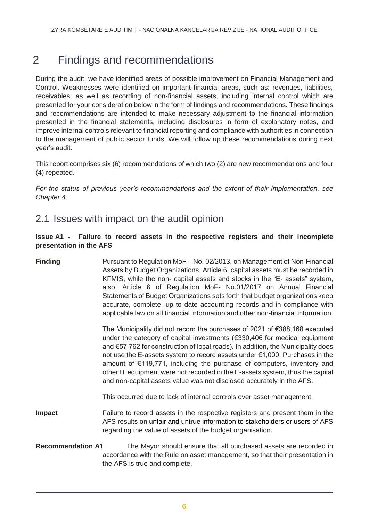# <span id="page-5-0"></span>2 Findings and recommendations

During the audit, we have identified areas of possible improvement on Financial Management and Control. Weaknesses were identified on important financial areas, such as: revenues, liabilities, receivables, as well as recording of non-financial assets, including internal control which are presented for your consideration below in the form of findings and recommendations. These findings and recommendations are intended to make necessary adjustment to the financial information presented in the financial statements, including disclosures in form of explanatory notes, and improve internal controls relevant to financial reporting and compliance with authorities in connection to the management of public sector funds. We will follow up these recommendations during next year's audit.

This report comprises six (6) recommendations of which two (2) are new recommendations and four (4) repeated.

*For the status of previous year's recommendations and the extent of their implementation, see Chapter 4.*

# 2.1 Issues with impact on the audit opinion

### **Issue A1 - Failure to record assets in the respective registers and their incomplete presentation in the AFS**

# **Finding** Pursuant to Regulation MoF – No. 02/2013, on Management of Non-Financial Assets by Budget Organizations, Article 6, capital assets must be recorded in KFMIS, while the non- capital assets and stocks in the "E- assets" system, also, Article 6 of Regulation MoF- No.01/2017 on Annual Financial Statements of Budget Organizations sets forth that budget organizations keep accurate, complete, up to date accounting records and in compliance with applicable law on all financial information and other non-financial information. The Municipality did not record the purchases of 2021 of €388,168 executed under the category of capital investments (€330,406 for medical equipment and €57,762 for construction of local roads). In addition, the Municipality does not use the E-assets system to record assets under €1,000. Purchases in the amount of €119,771, including the purchase of computers, inventory and other IT equipment were not recorded in the E-assets system, thus the capital and non-capital assets value was not disclosed accurately in the AFS. This occurred due to lack of internal controls over asset management. **Impact** Failure to record assets in the respective registers and present them in the AFS results on unfair and untrue information to stakeholders or users of AFS regarding the value of assets of the budget organisation. **Recommendation A1** The Mayor should ensure that all purchased assets are recorded in accordance with the Rule on asset management, so that their presentation in

the AFS is true and complete.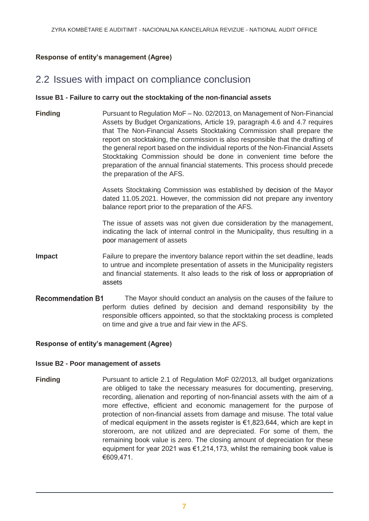### **Response of entity's management (Agree)**

# 2.2 Issues with impact on compliance conclusion

#### **Issue B1 - Failure to carry out the stocktaking of the non-financial assets**

**Finding** Pursuant to Regulation MoF – No. 02/2013, on Management of Non-Financial Assets by Budget Organizations, Article 19, paragraph 4.6 and 4.7 requires that The Non-Financial Assets Stocktaking Commission shall prepare the report on stocktaking, the commission is also responsible that the drafting of the general report based on the individual reports of the Non-Financial Assets Stocktaking Commission should be done in convenient time before the preparation of the annual financial statements. This process should precede the preparation of the AFS.

> Assets Stocktaking Commission was established by decision of the Mayor dated 11.05.2021. However, the commission did not prepare any inventory balance report prior to the preparation of the AFS.

> The issue of assets was not given due consideration by the management, indicating the lack of internal control in the Municipality, thus resulting in a poor management of assets

- **Impact** Failure to prepare the inventory balance report within the set deadline, leads to untrue and incomplete presentation of assets in the Municipality registers and financial statements. It also leads to the risk of loss or appropriation of assets
- **Recommendation B1** The Mayor should conduct an analysis on the causes of the failure to perform duties defined by decision and demand responsibility by the responsible officers appointed, so that the stocktaking process is completed on time and give a true and fair view in the AFS.

#### **Response of entity's management (Agree)**

#### **Issue B2 - Poor management of assets**

**Finding** Pursuant to article 2.1 of Regulation MoF 02/2013, all budget organizations are obliged to take the necessary measures for documenting, preserving, recording, alienation and reporting of non-financial assets with the aim of a more effective, efficient and economic management for the purpose of protection of non-financial assets from damage and misuse. The total value of medical equipment in the assets register is €1,823,644, which are kept in storeroom, are not utilized and are depreciated. For some of them, the remaining book value is zero. The closing amount of depreciation for these equipment for year 2021 was €1,214,173, whilst the remaining book value is €609,471.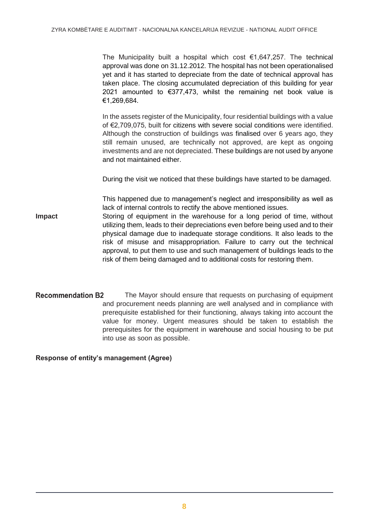The Municipality built a hospital which cost  $\epsilon$ 1,647,257. The technical approval was done on 31.12.2012. The hospital has not been operationalised yet and it has started to depreciate from the date of technical approval has taken place. The closing accumulated depreciation of this building for year 2021 amounted to €377,473, whilst the remaining net book value is €1,269,684.

In the assets register of the Municipality, four residential buildings with a value of €2,709,075, built for citizens with severe social conditions were identified. Although the construction of buildings was finalised over 6 years ago, they still remain unused, are technically not approved, are kept as ongoing investments and are not depreciated. These buildings are not used by anyone and not maintained either.

During the visit we noticed that these buildings have started to be damaged.

This happened due to management's neglect and irresponsibility as well as lack of internal controls to rectify the above mentioned issues.

- **Impact** Storing of equipment in the warehouse for a long period of time, without utilizing them, leads to their depreciations even before being used and to their physical damage due to inadequate storage conditions. It also leads to the risk of misuse and misappropriation. Failure to carry out the technical approval, to put them to use and such management of buildings leads to the risk of them being damaged and to additional costs for restoring them.
- **Recommendation B2** The Mayor should ensure that requests on purchasing of equipment and procurement needs planning are well analysed and in compliance with prerequisite established for their functioning, always taking into account the value for money. Urgent measures should be taken to establish the prerequisites for the equipment in warehouse and social housing to be put into use as soon as possible.

**Response of entity's management (Agree)**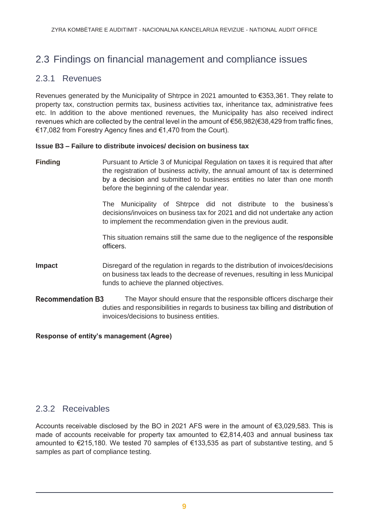# 2.3 Findings on financial management and compliance issues

# 2.3.1 Revenues

Revenues generated by the Municipality of Shtrpce in 2021 amounted to €353,361. They relate to property tax, construction permits tax, business activities tax, inheritance tax, administrative fees etc. In addition to the above mentioned revenues, the Municipality has also received indirect revenues which are collected by the central level in the amount of €56,982(€38,429 from traffic fines, €17,082 from Forestry Agency fines and €1,470 from the Court).

### **Issue B3 – Failure to distribute invoices/ decision on business tax**

**Finding** Pursuant to Article 3 of Municipal Regulation on taxes it is required that after the registration of business activity, the annual amount of tax is determined by a decision and submitted to business entities no later than one month before the beginning of the calendar year.

> The Municipality of Shtrpce did not distribute to the business's decisions/invoices on business tax for 2021 and did not undertake any action to implement the recommendation given in the previous audit.

> This situation remains still the same due to the negligence of the responsible officers.

- **Impact** Disregard of the regulation in regards to the distribution of invoices/decisions on business tax leads to the decrease of revenues, resulting in less Municipal funds to achieve the planned objectives.
- **Recommendation B3** The Mayor should ensure that the responsible officers discharge their duties and responsibilities in regards to business tax billing and distribution of invoices/decisions to business entities.

**Response of entity's management (Agree)**

## 2.3.2 Receivables

Accounts receivable disclosed by the BO in 2021 AFS were in the amount of €3,029,583. This is made of accounts receivable for property tax amounted to  $\epsilon$ 2,814,403 and annual business tax amounted to €215,180. We tested 70 samples of €133,535 as part of substantive testing, and 5 samples as part of compliance testing.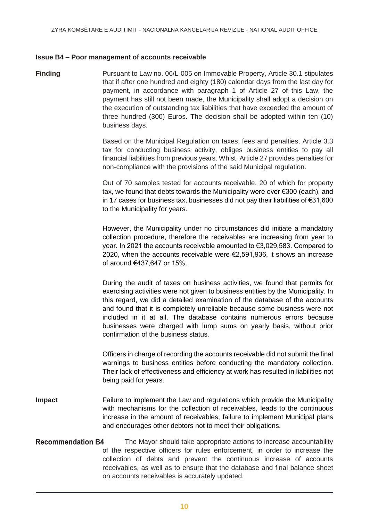#### **Issue B4 – Poor management of accounts receivable**

**Finding** Pursuant to Law no. 06/L-005 on Immovable Property, Article 30.1 stipulates that if after one hundred and eighty (180) calendar days from the last day for payment, in accordance with paragraph 1 of Article 27 of this Law, the payment has still not been made, the Municipality shall adopt a decision on the execution of outstanding tax liabilities that have exceeded the amount of three hundred (300) Euros. The decision shall be adopted within ten (10) business days.

> Based on the Municipal Regulation on taxes, fees and penalties, Article 3.3 tax for conducting business activity, obliges business entities to pay all financial liabilities from previous years. Whist, Article 27 provides penalties for non-compliance with the provisions of the said Municipal regulation.

> Out of 70 samples tested for accounts receivable, 20 of which for property tax, we found that debts towards the Municipality were over €300 (each), and in 17 cases for business tax, businesses did not pay their liabilities of €31,600 to the Municipality for years.

> However, the Municipality under no circumstances did initiate a mandatory collection procedure, therefore the receivables are increasing from year to year. In 2021 the accounts receivable amounted to €3,029,583. Compared to 2020, when the accounts receivable were €2,591,936, it shows an increase of around €437,647 or 15%.

> During the audit of taxes on business activities, we found that permits for exercising activities were not given to business entities by the Municipality. In this regard, we did a detailed examination of the database of the accounts and found that it is completely unreliable because some business were not included in it at all. The database contains numerous errors because businesses were charged with lump sums on yearly basis, without prior confirmation of the business status.

> Officers in charge of recording the accounts receivable did not submit the final warnings to business entities before conducting the mandatory collection. Their lack of effectiveness and efficiency at work has resulted in liabilities not being paid for years.

- **Impact** Failure to implement the Law and regulations which provide the Municipality with mechanisms for the collection of receivables, leads to the continuous increase in the amount of receivables, failure to implement Municipal plans and encourages other debtors not to meet their obligations.
- **Recommendation B4** The Mayor should take appropriate actions to increase accountability of the respective officers for rules enforcement, in order to increase the collection of debts and prevent the continuous increase of accounts receivables, as well as to ensure that the database and final balance sheet on accounts receivables is accurately updated.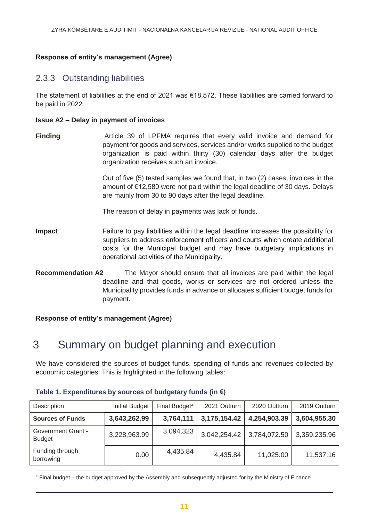## **Response of entity's management (Agree)**

# 2.3.3 Outstanding liabilities

The statement of liabilities at the end of 2021 was €18,572. These liabilities are carried forward to be paid in 2022.

#### **Issue A2 – Delay in payment of invoices**

**Finding Article 39 of LPFMA requires that every valid invoice and demand for** payment for goods and services, services and/or works supplied to the budget organization is paid within thirty (30) calendar days after the budget organization receives such an invoice.

> Out of five (5) tested samples we found that, in two (2) cases, invoices in the amount of €12,580 were not paid within the legal deadline of 30 days. Delays are mainly from 30 to 90 days after the legal deadline.

The reason of delay in payments was lack of funds.

- **Impact** Failure to pay liabilities within the legal deadline increases the possibility for suppliers to address enforcement officers and courts which create additional costs for the Municipal budget and may have budgetary implications in operational activities of the Municipality.
- **Recommendation A2** The Mayor should ensure that all invoices are paid within the legal deadline and that goods, works or services are not ordered unless the Municipality provides funds in advance or allocates sufficient budget funds for payment.

<span id="page-10-0"></span>**Response of entity's management (Agree)**

# 3 Summary on budget planning and execution

We have considered the sources of budget funds, spending of funds and revenues collected by economic categories. This is highlighted in the following tables:

| Description                                | <b>Initial Budget</b> | Final Budget <sup>4</sup> | 2021 Outturn | 2020 Outturn | 2019 Outturn |
|--------------------------------------------|-----------------------|---------------------------|--------------|--------------|--------------|
| <b>Sources of Funds</b>                    | 3,643,262.99          | 3,764,111                 | 3,175,154.42 | 4,254,903.39 | 3,604,955.30 |
| <b>Government Grant -</b><br><b>Budget</b> | 3,228,963.99          | 3,094,323                 | 3,042,254.42 | 3,784,072.50 | 3,359,235.96 |
| Funding through<br>borrowing               | 0.00                  | 4,435.84                  | 4,435.84     | 11,025.00    | 11,537.16    |

|  |  |  | Table 1. Expenditures by sources of budgetary funds (in $\epsilon$ ) |  |  |
|--|--|--|----------------------------------------------------------------------|--|--|
|  |  |  |                                                                      |  |  |

 $\overline{a}$ <sup>4</sup> Final budget – the budget approved by the Assembly and subsequently adjusted for by the Ministry of Finance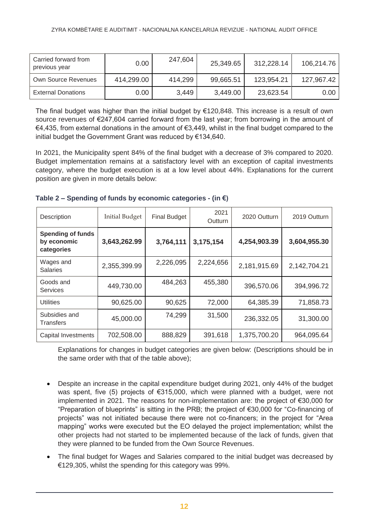| Carried forward from<br>previous year | 0.00       | 247,604 | 25,349.65 | 312.228.14 | 106,214.76 |
|---------------------------------------|------------|---------|-----------|------------|------------|
| Own Source Revenues                   | 414,299.00 | 414,299 | 99,665.51 | 123,954.21 | 127,967.42 |
| <b>External Donations</b>             | 0.00       | 3,449   | 3,449.00  | 23,623.54  | 0.00       |

The final budget was higher than the initial budget by  $\epsilon$ 120,848. This increase is a result of own source revenues of €247,604 carried forward from the last year; from borrowing in the amount of €4,435, from external donations in the amount of €3,449, whilst in the final budget compared to the initial budget the Government Grant was reduced by €134,640.

In 2021, the Municipality spent 84% of the final budget with a decrease of 3% compared to 2020. Budget implementation remains at a satisfactory level with an exception of capital investments category, where the budget execution is at a low level about 44%. Explanations for the current position are given in more details below:

| Description                                           | <b>Initial Budget</b> | <b>Final Budget</b> | 2021<br><b>Outturn</b> | 2020 Outturn | 2019 Outturn |
|-------------------------------------------------------|-----------------------|---------------------|------------------------|--------------|--------------|
| <b>Spending of funds</b><br>by economic<br>categories | 3,643,262.99          | 3,764,111           | 3,175,154              | 4,254,903.39 | 3,604,955.30 |
| Wages and<br><b>Salaries</b>                          | 2,355,399.99          | 2,226,095           | 2,224,656              | 2,181,915.69 | 2,142,704.21 |
| Goods and<br><b>Services</b>                          | 449,730.00            | 484,263             | 455,380                | 396,570.06   | 394,996.72   |
| <b>Utilities</b>                                      | 90,625.00             | 90,625              | 72,000                 | 64,385.39    | 71,858.73    |
| Subsidies and<br>Transfers                            | 45,000.00             | 74,299              | 31,500                 | 236,332.05   | 31,300.00    |
| <b>Capital Investments</b>                            | 702,508.00            | 888,829             | 391,618                | 1,375,700.20 | 964,095.64   |

| Table 2 – Spending of funds by economic categories - (in $\epsilon$ ) |  |
|-----------------------------------------------------------------------|--|
|-----------------------------------------------------------------------|--|

Explanations for changes in budget categories are given below: (Descriptions should be in the same order with that of the table above);

- Despite an increase in the capital expenditure budget during 2021, only 44% of the budget was spent, five (5) projects of €315,000, which were planned with a budget, were not implemented in 2021. The reasons for non-implementation are: the project of €30,000 for "Preparation of blueprints" is sitting in the PRB; the project of €30,000 for "Co-financing of projects" was not initiated because there were not co-financers; in the project for "Area mapping" works were executed but the EO delayed the project implementation; whilst the other projects had not started to be implemented because of the lack of funds, given that they were planned to be funded from the Own Source Revenues.
- The final budget for Wages and Salaries compared to the initial budget was decreased by €129,305, whilst the spending for this category was 99%.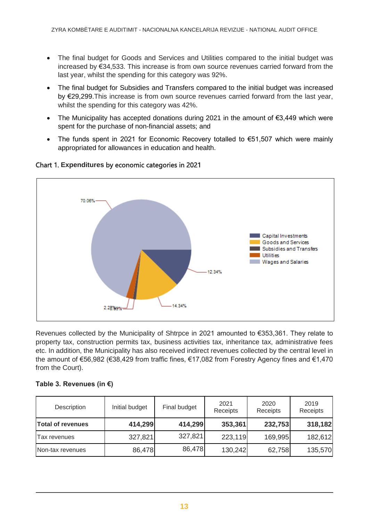- The final budget for Goods and Services and Utilities compared to the initial budget was increased by €34,533. This increase is from own source revenues carried forward from the last year, whilst the spending for this category was 92%.
- The final budget for Subsidies and Transfers compared to the initial budget was increased by €29,299.This increase is from own source revenues carried forward from the last year, whilst the spending for this category was 42%.
- The Municipality has accepted donations during 2021 in the amount of €3,449 which were spent for the purchase of non-financial assets; and
- The funds spent in 2021 for Economic Recovery totalled to €51,507 which were mainly appropriated for allowances in education and health.



## Chart 1. **Expenditures** by economic categories in 2021

Revenues collected by the Municipality of Shtrpce in 2021 amounted to €353,361. They relate to property tax, construction permits tax, business activities tax, inheritance tax, administrative fees etc. In addition, the Municipality has also received indirect revenues collected by the central level in the amount of €56,982 (€38,429 from traffic fines, €17,082 from Forestry Agency fines and €1,470 from the Court).

## **Table 3. Revenues (in €)**

| Description              | Initial budget | Final budget | 2021<br>Receipts | 2020<br>Receipts | 2019<br>Receipts |
|--------------------------|----------------|--------------|------------------|------------------|------------------|
| <b>Total of revenues</b> | 414,299        | 414,299      | 353,361          | 232,753          | 318,182          |
| Tax revenues             | 327,821        | 327,821      | 223,119          | 169,995          | 182,612          |
| Non-tax revenues         | 86,478         | 86,478       | 130,242          | 62,758           | 135,570          |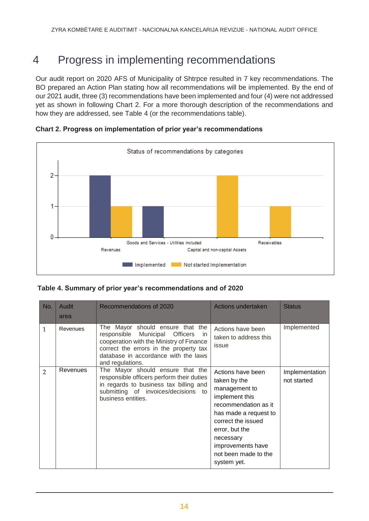# <span id="page-13-0"></span>4 Progress in implementing recommendations

Our audit report on 2020 AFS of Municipality of Shtrpce resulted in 7 key recommendations. The BO prepared an Action Plan stating how all recommendations will be implemented. By the end of our 2021 audit, three (3) recommendations have been implemented and four (4) were not addressed yet as shown in following Chart 2. For a more thorough description of the recommendations and how they are addressed, see Table 4 (or the recommendations table).



**Chart 2. Progress on implementation of prior year's recommendations** 

|  |  | Table 4. Summary of prior year's recommendations and of 2020 |  |  |
|--|--|--------------------------------------------------------------|--|--|
|  |  |                                                              |  |  |

| No.            | Audit<br>area | Recommendations of 2020                                                                                                                                                                                                                            | Actions undertaken                                                                                                                                                                                                                     | <b>Status</b>                 |
|----------------|---------------|----------------------------------------------------------------------------------------------------------------------------------------------------------------------------------------------------------------------------------------------------|----------------------------------------------------------------------------------------------------------------------------------------------------------------------------------------------------------------------------------------|-------------------------------|
| 1              | Revenues      | The Mayor should ensure that the<br>Municipal<br>responsible<br><b>Officers</b><br><sub>In</sub><br>cooperation with the Ministry of Finance<br>correct the errors in the property tax<br>database in accordance with the laws<br>and regulations. | Actions have been<br>taken to address this<br>issue                                                                                                                                                                                    | Implemented                   |
| $\overline{2}$ | Revenues      | The Mayor should ensure that the<br>responsible officers perform their duties<br>in regards to business tax billing and<br>submitting of invoices/decisions to<br>business entities.                                                               | Actions have been<br>taken by the<br>management to<br>implement this<br>recommendation as it<br>has made a request to<br>correct the issued<br>error, but the<br>necessary<br>improvements have<br>not been made to the<br>system yet. | Implementation<br>not started |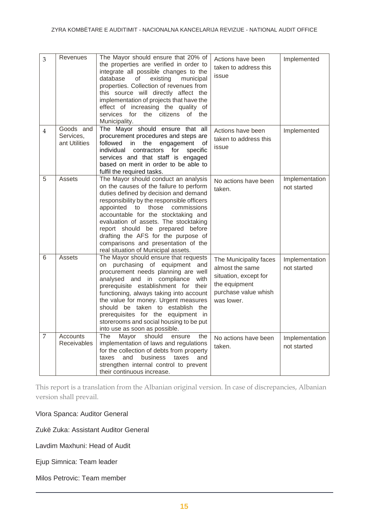| 3              | Revenues                                | The Mayor should ensure that 20% of<br>the properties are verified in order to<br>integrate all possible changes to the<br>database<br>of<br>existing<br>municipal<br>properties. Collection of revenues from<br>this source will directly affect the<br>implementation of projects that have the<br>effect of increasing the quality of<br>services for the citizens of the<br>Municipality.                                                           | Actions have been<br>taken to address this<br>issue                                                                       | Implemented                   |
|----------------|-----------------------------------------|---------------------------------------------------------------------------------------------------------------------------------------------------------------------------------------------------------------------------------------------------------------------------------------------------------------------------------------------------------------------------------------------------------------------------------------------------------|---------------------------------------------------------------------------------------------------------------------------|-------------------------------|
| $\overline{4}$ | Goods and<br>Services,<br>ant Utilities | The Mayor should ensure that all<br>procurement procedures and steps are<br>followed in<br>the<br>engagement<br>of<br>individual<br>contractors<br>for<br>specific<br>services and that staff is engaged<br>based on merit in order to be able to<br>fulfil the required tasks.                                                                                                                                                                         | Actions have been<br>taken to address this<br>issue                                                                       | Implemented                   |
| 5              | Assets                                  | The Mayor should conduct an analysis<br>on the causes of the failure to perform<br>duties defined by decision and demand<br>responsibility by the responsible officers<br>appointed to<br>those<br>commissions<br>accountable for the stocktaking and<br>evaluation of assets. The stocktaking<br>report should be prepared before<br>drafting the AFS for the purpose of<br>comparisons and presentation of the<br>real situation of Municipal assets. | No actions have been<br>taken.                                                                                            | Implementation<br>not started |
| 6              | Assets                                  | The Mayor should ensure that requests<br>on purchasing of equipment<br>and<br>procurement needs planning are well<br>analysed and in compliance<br>with<br>prerequisite establishment for their<br>functioning, always taking into account<br>the value for money. Urgent measures<br>should be taken to establish the<br>prerequisites for the equipment in<br>storerooms and social housing to be put<br>into use as soon as possible.                | The Municipality faces<br>almost the same<br>situation, except for<br>the equipment<br>purchase value whish<br>was lower. | Implementation<br>not started |
| $\overline{7}$ | Accounts<br>Receivables                 | The<br>Mayor<br>should<br>the<br>ensure<br>implementation of laws and regulations<br>for the collection of debts from property<br>and<br>business<br>taxes<br>and<br>taxes<br>strengthen internal control to prevent<br>their continuous increase.                                                                                                                                                                                                      | No actions have been<br>taken.                                                                                            | Implementation<br>not started |

This report is a translation from the Albanian original version. In case of discrepancies, Albanian version shall prevail.

Vlora Spanca: Auditor General

Zukë Zuka: Assistant Auditor General

Lavdim Maxhuni: Head of Audit

Ejup Simnica: Team leader

Milos Petrovic: Team member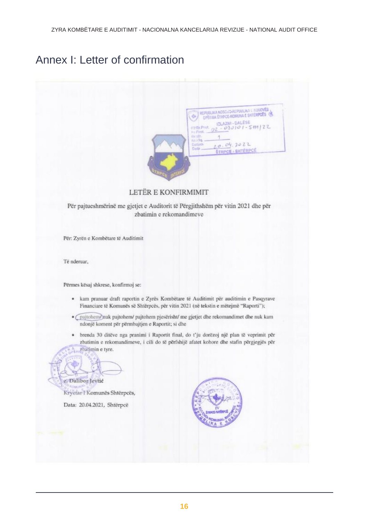# Annex I: Letter of confirmation



#### LETËR E KONFIRMIMIT

Për pajtueshmërinë me gjetjet e Auditorit të Përgjithshëm për vitin 2021 dhe për zbatimin e rekomandimeve

Për: Zyrën e Kombëtare të Auditimit

Të nderuar,

Përmes kësaj shkrese, konfirmoj se:

- · kam pranuar draft raportin e Zyrës Kombëtare të Auditimit për auditimin e Pasqyrave Financiare të Komunës së Shtërpcës, për vitin 2021 (në tekstin e mëtejmë "Raporti");
- · pajtohem/nuk pajtohem/ pajtohem pjesërisht/ me gjetjet dhe rekomandimet dhe nuk kam ndonjë koment për përmbajtjen e Raportit; si dhe
- · brenda 30 ditëve nga pranimi i Raportit final, do t'ju dorëzoj një plan të veprimit për zbatimin e rekomandimeve, i cili do të përfshijë afatet kohore dhe stafin përgjegjës për zhatimin e tyre.

z. Dalibor Jevtić Kryetar I Komunës Shtërpcës,

Data: 20.04.2021, Shtërpcë

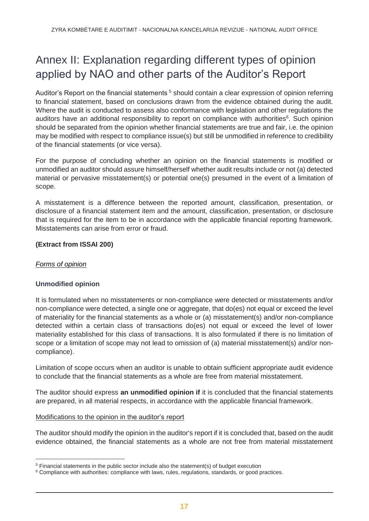# <span id="page-16-0"></span>Annex II: Explanation regarding different types of opinion applied by NAO and other parts of the Auditor's Report

Auditor's Report on the financial statements <sup>5</sup> should contain a clear expression of opinion referring to financial statement, based on conclusions drawn from the evidence obtained during the audit. Where the audit is conducted to assess also conformance with legislation and other regulations the auditors have an additional responsibility to report on compliance with authorities<sup>6</sup>. Such opinion should be separated from the opinion whether financial statements are true and fair, i.e. the opinion may be modified with respect to compliance issue(s) but still be unmodified in reference to credibility of the financial statements (or vice versa).

For the purpose of concluding whether an opinion on the financial statements is modified or unmodified an auditor should assure himself/herself whether audit results include or not (a) detected material or pervasive misstatement(s) or potential one(s) presumed in the event of a limitation of scope.

A misstatement is a difference between the reported amount, classification, presentation, or disclosure of a financial statement item and the amount, classification, presentation, or disclosure that is required for the item to be in accordance with the applicable financial reporting framework. Misstatements can arise from error or fraud.

### **(Extract from ISSAI 200)**

#### *Forms of opinion*

 $\overline{a}$ 

## **Unmodified opinion**

It is formulated when no misstatements or non-compliance were detected or misstatements and/or non-compliance were detected, a single one or aggregate, that do(es) not equal or exceed the level of materiality for the financial statements as a whole or (a) misstatement(s) and/or non-compliance detected within a certain class of transactions do(es) not equal or exceed the level of lower materiality established for this class of transactions. It is also formulated if there is no limitation of scope or a limitation of scope may not lead to omission of (a) material misstatement(s) and/or noncompliance).

Limitation of scope occurs when an auditor is unable to obtain sufficient appropriate audit evidence to conclude that the financial statements as a whole are free from material misstatement.

The auditor should express **an unmodified opinion if** it is concluded that the financial statements are prepared, in all material respects, in accordance with the applicable financial framework.

#### Modifications to the opinion in the auditor's report

The auditor should modify the opinion in the auditor's report if it is concluded that, based on the audit evidence obtained, the financial statements as a whole are not free from material misstatement

<sup>5</sup> Financial statements in the public sector include also the statement(s) of budget execution

 $6$  Compliance with authorities: compliance with laws, rules, regulations, standards, or good practices.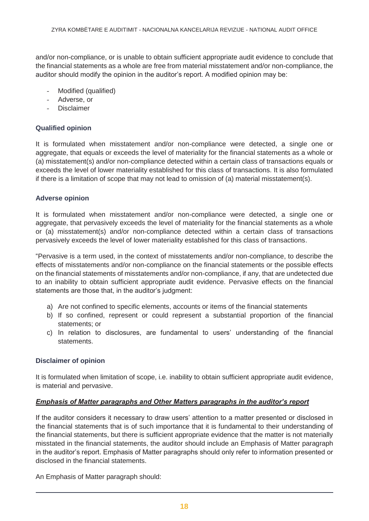and/or non-compliance, or is unable to obtain sufficient appropriate audit evidence to conclude that the financial statements as a whole are free from material misstatement and/or non-compliance, the auditor should modify the opinion in the auditor's report. A modified opinion may be:

- Modified (qualified)
- Adverse, or
- **Disclaimer**

#### **Qualified opinion**

It is formulated when misstatement and/or non-compliance were detected, a single one or aggregate, that equals or exceeds the level of materiality for the financial statements as a whole or (a) misstatement(s) and/or non-compliance detected within a certain class of transactions equals or exceeds the level of lower materiality established for this class of transactions. It is also formulated if there is a limitation of scope that may not lead to omission of (a) material misstatement(s).

#### **Adverse opinion**

It is formulated when misstatement and/or non-compliance were detected, a single one or aggregate, that pervasively exceeds the level of materiality for the financial statements as a whole or (a) misstatement(s) and/or non-compliance detected within a certain class of transactions pervasively exceeds the level of lower materiality established for this class of transactions.

"Pervasive is a term used, in the context of misstatements and/or non-compliance, to describe the effects of misstatements and/or non-compliance on the financial statements or the possible effects on the financial statements of misstatements and/or non-compliance, if any, that are undetected due to an inability to obtain sufficient appropriate audit evidence. Pervasive effects on the financial statements are those that, in the auditor's judgment:

- a) Are not confined to specific elements, accounts or items of the financial statements
- b) If so confined, represent or could represent a substantial proportion of the financial statements; or
- c) In relation to disclosures, are fundamental to users' understanding of the financial statements.

#### **Disclaimer of opinion**

It is formulated when limitation of scope, i.e. inability to obtain sufficient appropriate audit evidence, is material and pervasive.

#### *Emphasis of Matter paragraphs and Other Matters paragraphs in the auditor's report*

If the auditor considers it necessary to draw users' attention to a matter presented or disclosed in the financial statements that is of such importance that it is fundamental to their understanding of the financial statements, but there is sufficient appropriate evidence that the matter is not materially misstated in the financial statements, the auditor should include an Emphasis of Matter paragraph in the auditor's report. Emphasis of Matter paragraphs should only refer to information presented or disclosed in the financial statements.

An Emphasis of Matter paragraph should: